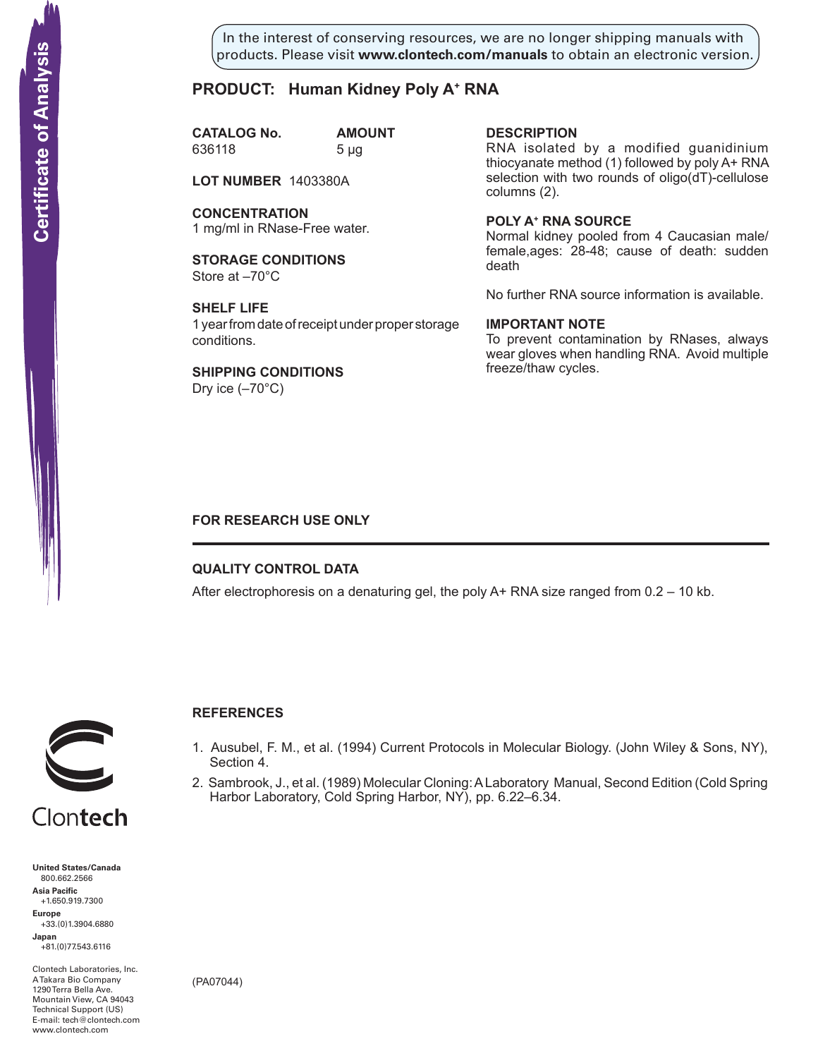In the interest of conserving resources, we are no longer shipping manuals with products. Please visit **www.clontech.com/manuals** to obtain an electronic version.

# **PRODUCT: Human Kidney Poly A+ RNA**

**CATALOG No. AMOUNT** 636118 5 µg

**LOT NUMBER** 1403380A

**CONCENTRATION** 1 mg/ml in RNase-Free water.

**STORAGE CONDITIONS** Store at –70°C

**SHELF LIFE** 1 year from date of receipt under proper storage conditions.

**SHIPPING CONDITIONS** Dry ice  $(-70^{\circ}C)$ 

**description**

RNA isolated by a modified guanidinium thiocyanate method (1) followed by poly A+ RNA selection with two rounds of oligo(dT)-cellulose columns (2).

**Poly a+ RNA source** Normal kidney pooled from 4 Caucasian male/ female,ages: 28-48; cause of death: sudden death

No further RNA source information is available.

### **IMPORTANT NOTE**

To prevent contamination by RNases, always wear gloves when handling RNA. Avoid multiple freeze/thaw cycles.

# **FOR RESEARCH USE ONLY**

# **QUALITY CONTROL DATA**

After electrophoresis on a denaturing gel, the poly  $A+$  RNA size ranged from  $0.2 - 10$  kb.



# **References**

- 1. Ausubel, F. M., et al. (1994) Current Protocols in Molecular Biology. (John Wiley & Sons, NY), Section 4.
- 2. Sambrook, J., et al. (1989) Molecular Cloning: A Laboratory Manual, Second Edition (Cold Spring Harbor Laboratory, Cold Spring Harbor, NY), pp. 6.22–6.34.



Clontech

**United States/Canada** 800.662.2566 **Asia Pacific** +1.650.919.7300 **Europe** +33.(0)1.3904.6880 **Japan** +81.(0)77.543.6116 **Solution Control Control Control Control Control Control Control Control Control Control Control Control Control Control Control Control Control Control Control Control Control Control Control Control Control Control Cont** 

Clontech Laboratories, Inc. A Takara Bio Company 1290 Terra Bella Ave. Mountain View, CA 94043 Technical Support (US) E-mail: tech@clontech.com

(PA07044)